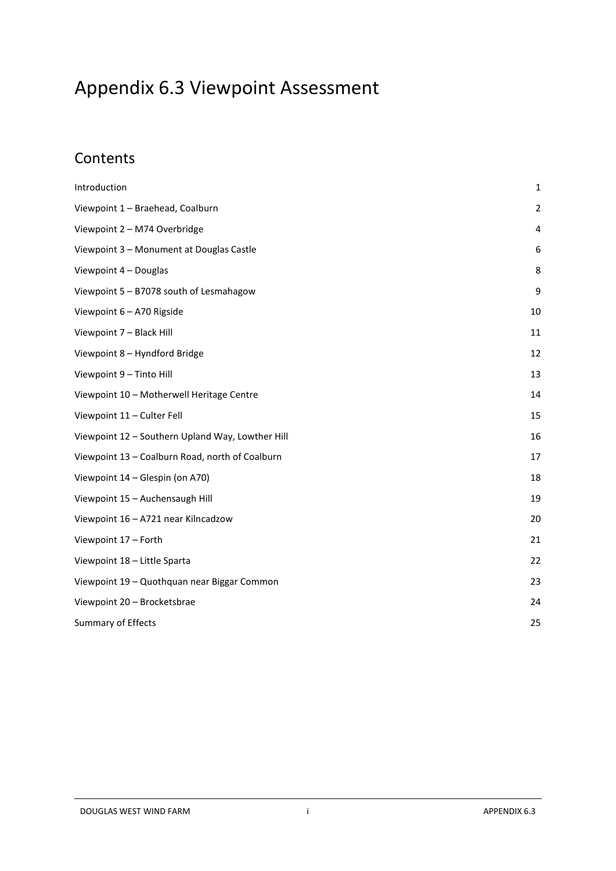# Appendix 6.3 Viewpoint Assessment

# **Contents**

| Introduction                                     | $\mathbf{1}$   |
|--------------------------------------------------|----------------|
| Viewpoint 1 - Braehead, Coalburn                 | $\overline{2}$ |
| Viewpoint 2 - M74 Overbridge                     | 4              |
| Viewpoint 3 - Monument at Douglas Castle         | 6              |
| Viewpoint 4 - Douglas                            | 8              |
| Viewpoint 5 - B7078 south of Lesmahagow          | 9              |
| Viewpoint 6 - A70 Rigside                        | 10             |
| Viewpoint 7 - Black Hill                         | 11             |
| Viewpoint 8 - Hyndford Bridge                    | 12             |
| Viewpoint 9 - Tinto Hill                         | 13             |
| Viewpoint 10 - Motherwell Heritage Centre        | 14             |
| Viewpoint 11 - Culter Fell                       | 15             |
| Viewpoint 12 - Southern Upland Way, Lowther Hill | 16             |
| Viewpoint 13 - Coalburn Road, north of Coalburn  | 17             |
| Viewpoint 14 - Glespin (on A70)                  | 18             |
| Viewpoint 15 - Auchensaugh Hill                  | 19             |
| Viewpoint 16 - A721 near Kilncadzow              | 20             |
| Viewpoint 17 - Forth                             | 21             |
| Viewpoint 18 - Little Sparta                     | 22             |
| Viewpoint 19 - Quothquan near Biggar Common      | 23             |
| Viewpoint 20 - Brocketsbrae                      | 24             |
| Summary of Effects                               | 25             |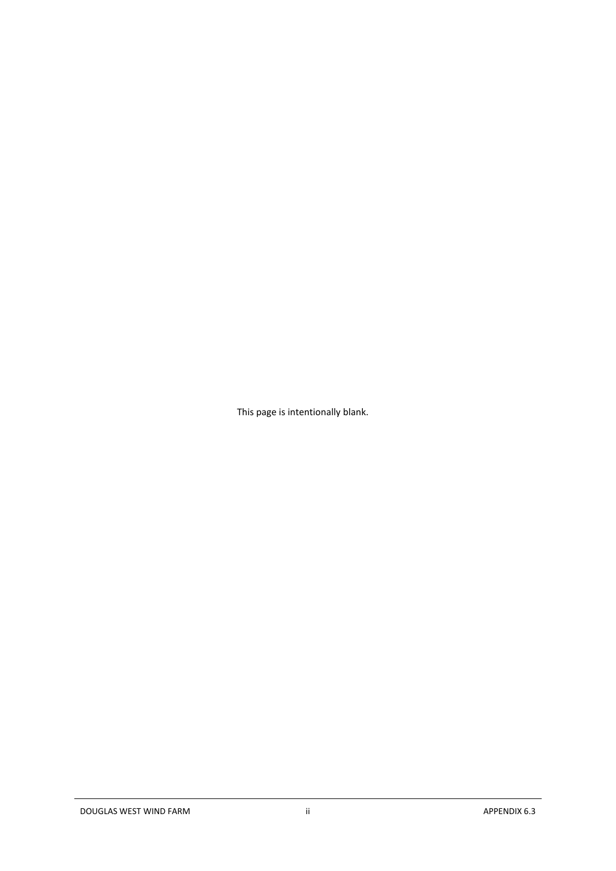This page is intentionally blank.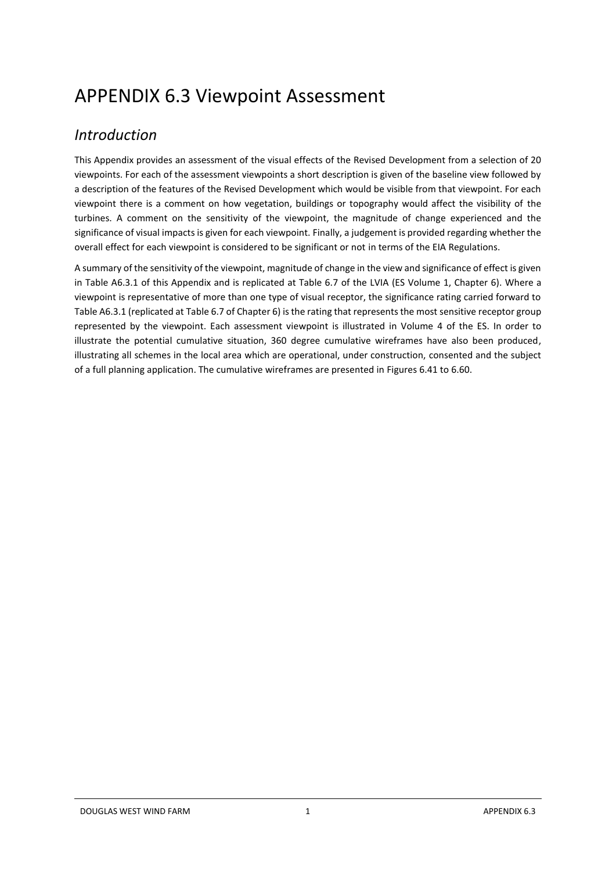# APPENDIX 6.3 Viewpoint Assessment

### <span id="page-2-0"></span>*Introduction*

This Appendix provides an assessment of the visual effects of the Revised Development from a selection of 20 viewpoints. For each of the assessment viewpoints a short description is given of the baseline view followed by a description of the features of the Revised Development which would be visible from that viewpoint. For each viewpoint there is a comment on how vegetation, buildings or topography would affect the visibility of the turbines. A comment on the sensitivity of the viewpoint, the magnitude of change experienced and the significance of visual impacts is given for each viewpoint. Finally, a judgement is provided regarding whether the overall effect for each viewpoint is considered to be significant or not in terms of the EIA Regulations.

A summary of the sensitivity of the viewpoint, magnitude of change in the view and significance of effect is given in Table A6.3.1 of this Appendix and is replicated at Table 6.7 of the LVIA (ES Volume 1, Chapter 6). Where a viewpoint is representative of more than one type of visual receptor, the significance rating carried forward to Table A6.3.1 (replicated at Table 6.7 of Chapter 6) is the rating that represents the most sensitive receptor group represented by the viewpoint. Each assessment viewpoint is illustrated in Volume 4 of the ES. In order to illustrate the potential cumulative situation, 360 degree cumulative wireframes have also been produced, illustrating all schemes in the local area which are operational, under construction, consented and the subject of a full planning application. The cumulative wireframes are presented in Figures 6.41 to 6.60.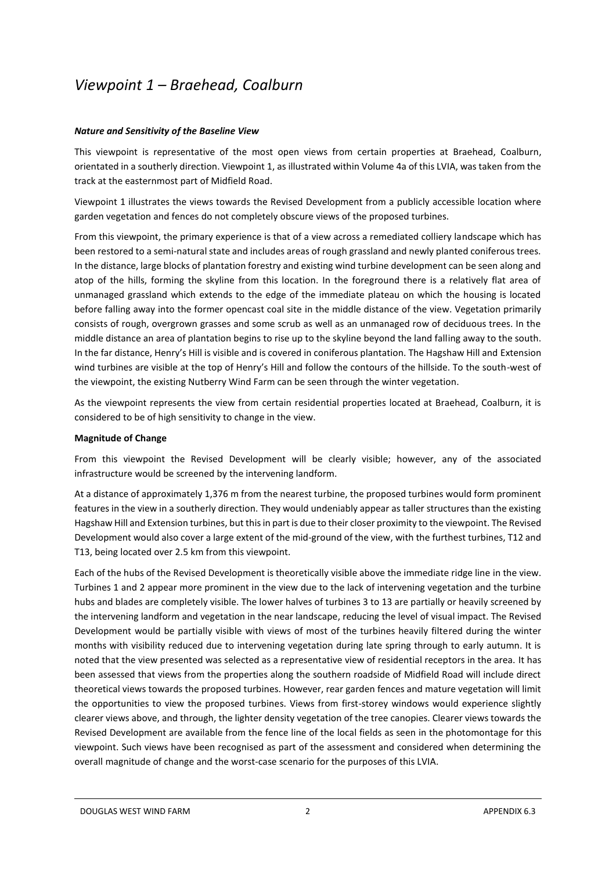### <span id="page-3-0"></span>*Viewpoint 1 – Braehead, Coalburn*

#### *Nature and Sensitivity of the Baseline View*

This viewpoint is representative of the most open views from certain properties at Braehead, Coalburn, orientated in a southerly direction. Viewpoint 1, as illustrated within Volume 4a of this LVIA, was taken from the track at the easternmost part of Midfield Road.

Viewpoint 1 illustrates the views towards the Revised Development from a publicly accessible location where garden vegetation and fences do not completely obscure views of the proposed turbines.

From this viewpoint, the primary experience is that of a view across a remediated colliery landscape which has been restored to a semi-natural state and includes areas of rough grassland and newly planted coniferous trees. In the distance, large blocks of plantation forestry and existing wind turbine development can be seen along and atop of the hills, forming the skyline from this location. In the foreground there is a relatively flat area of unmanaged grassland which extends to the edge of the immediate plateau on which the housing is located before falling away into the former opencast coal site in the middle distance of the view. Vegetation primarily consists of rough, overgrown grasses and some scrub as well as an unmanaged row of deciduous trees. In the middle distance an area of plantation begins to rise up to the skyline beyond the land falling away to the south. In the far distance, Henry's Hill is visible and is covered in coniferous plantation. The Hagshaw Hill and Extension wind turbines are visible at the top of Henry's Hill and follow the contours of the hillside. To the south-west of the viewpoint, the existing Nutberry Wind Farm can be seen through the winter vegetation.

As the viewpoint represents the view from certain residential properties located at Braehead, Coalburn, it is considered to be of high sensitivity to change in the view.

#### **Magnitude of Change**

From this viewpoint the Revised Development will be clearly visible; however, any of the associated infrastructure would be screened by the intervening landform.

At a distance of approximately 1,376 m from the nearest turbine, the proposed turbines would form prominent features in the view in a southerly direction. They would undeniably appear as taller structures than the existing Hagshaw Hill and Extension turbines, but this in part is due to their closer proximity to the viewpoint. The Revised Development would also cover a large extent of the mid-ground of the view, with the furthest turbines, T12 and T13, being located over 2.5 km from this viewpoint.

Each of the hubs of the Revised Development is theoretically visible above the immediate ridge line in the view. Turbines 1 and 2 appear more prominent in the view due to the lack of intervening vegetation and the turbine hubs and blades are completely visible. The lower halves of turbines 3 to 13 are partially or heavily screened by the intervening landform and vegetation in the near landscape, reducing the level of visual impact. The Revised Development would be partially visible with views of most of the turbines heavily filtered during the winter months with visibility reduced due to intervening vegetation during late spring through to early autumn. It is noted that the view presented was selected as a representative view of residential receptors in the area. It has been assessed that views from the properties along the southern roadside of Midfield Road will include direct theoretical views towards the proposed turbines. However, rear garden fences and mature vegetation will limit the opportunities to view the proposed turbines. Views from first-storey windows would experience slightly clearer views above, and through, the lighter density vegetation of the tree canopies. Clearer views towards the Revised Development are available from the fence line of the local fields as seen in the photomontage for this viewpoint. Such views have been recognised as part of the assessment and considered when determining the overall magnitude of change and the worst-case scenario for the purposes of this LVIA.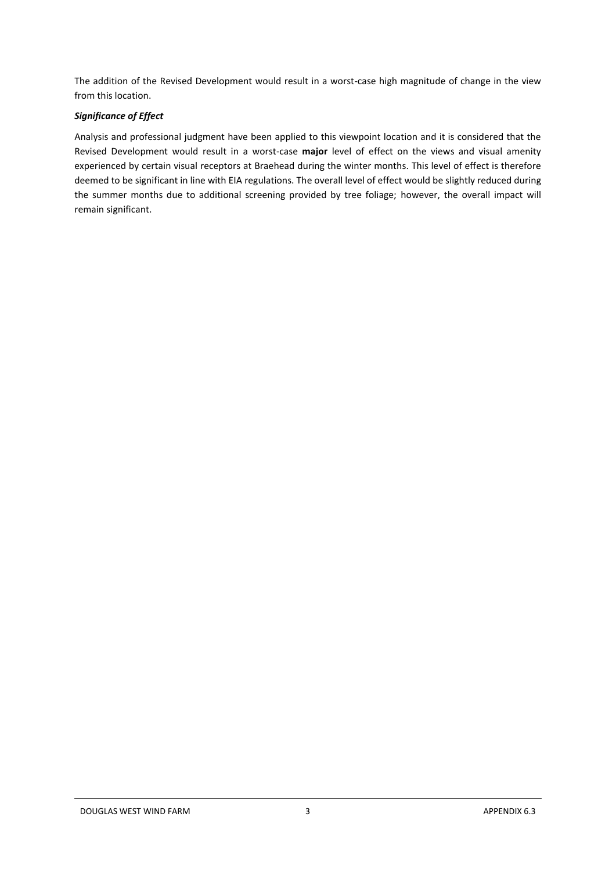The addition of the Revised Development would result in a worst-case high magnitude of change in the view from this location.

#### *Significance of Effect*

Analysis and professional judgment have been applied to this viewpoint location and it is considered that the Revised Development would result in a worst-case **major** level of effect on the views and visual amenity experienced by certain visual receptors at Braehead during the winter months. This level of effect is therefore deemed to be significant in line with EIA regulations. The overall level of effect would be slightly reduced during the summer months due to additional screening provided by tree foliage; however, the overall impact will remain significant.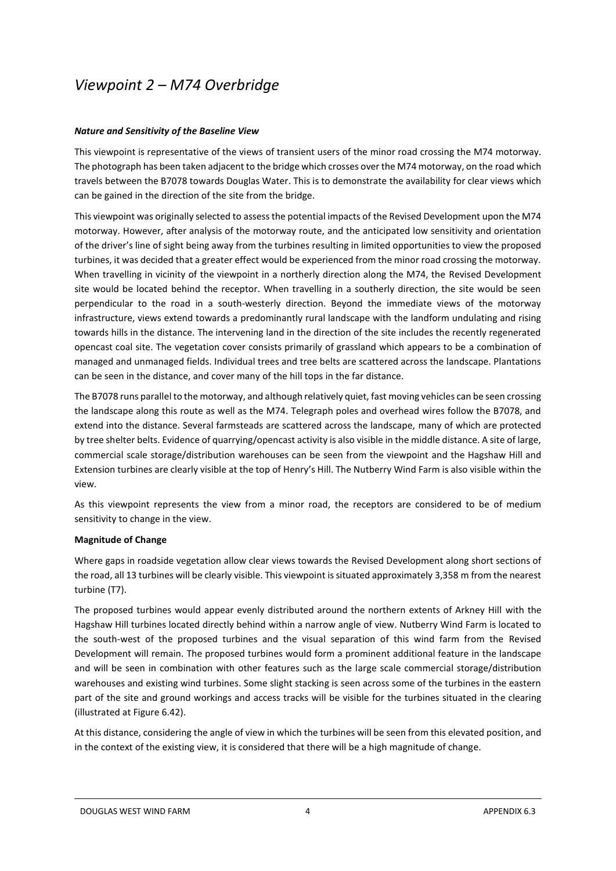### <span id="page-5-0"></span>*Viewpoint 2 – M74 Overbridge*

#### *Nature and Sensitivity of the Baseline View*

This viewpoint is representative of the views of transient users of the minor road crossing the M74 motorway. The photograph has been taken adjacent to the bridge which crosses over the M74 motorway, on the road which travels between the B7078 towards Douglas Water. This is to demonstrate the availability for clear views which can be gained in the direction of the site from the bridge.

This viewpoint was originally selected to assess the potential impacts of the Revised Development upon the M74 motorway. However, after analysis of the motorway route, and the anticipated low sensitivity and orientation of the driver's line of sight being away from the turbines resulting in limited opportunities to view the proposed turbines, it was decided that a greater effect would be experienced from the minor road crossing the motorway. When travelling in vicinity of the viewpoint in a northerly direction along the M74, the Revised Development site would be located behind the receptor. When travelling in a southerly direction, the site would be seen perpendicular to the road in a south-westerly direction. Beyond the immediate views of the motorway infrastructure, views extend towards a predominantly rural landscape with the landform undulating and rising towards hills in the distance. The intervening land in the direction of the site includes the recently regenerated opencast coal site. The vegetation cover consists primarily of grassland which appears to be a combination of managed and unmanaged fields. Individual trees and tree belts are scattered across the landscape. Plantations can be seen in the distance, and cover many of the hill tops in the far distance.

The B7078 runs parallel to the motorway, and although relatively quiet, fast moving vehicles can be seen crossing the landscape along this route as well as the M74. Telegraph poles and overhead wires follow the B7078, and extend into the distance. Several farmsteads are scattered across the landscape, many of which are protected by tree shelter belts. Evidence of quarrying/opencast activity is also visible in the middle distance. A site of large, commercial scale storage/distribution warehouses can be seen from the viewpoint and the Hagshaw Hill and Extension turbines are clearly visible at the top of Henry's Hill. The Nutberry Wind Farm is also visible within the view.

As this viewpoint represents the view from a minor road, the receptors are considered to be of medium sensitivity to change in the view.

#### **Magnitude of Change**

Where gaps in roadside vegetation allow clear views towards the Revised Development along short sections of the road, all 13 turbines will be clearly visible. This viewpoint is situated approximately 3,358 m from the nearest turbine (T7).

The proposed turbines would appear evenly distributed around the northern extents of Arkney Hill with the Hagshaw Hill turbines located directly behind within a narrow angle of view. Nutberry Wind Farm is located to the south-west of the proposed turbines and the visual separation of this wind farm from the Revised Development will remain. The proposed turbines would form a prominent additional feature in the landscape and will be seen in combination with other features such as the large scale commercial storage/distribution warehouses and existing wind turbines. Some slight stacking is seen across some of the turbines in the eastern part of the site and ground workings and access tracks will be visible for the turbines situated in the clearing (illustrated at Figure 6.42).

At this distance, considering the angle of view in which the turbines will be seen from this elevated position, and in the context of the existing view, it is considered that there will be a high magnitude of change.

DOUGLAS WEST WIND FARM 4 APPENDIX 6.3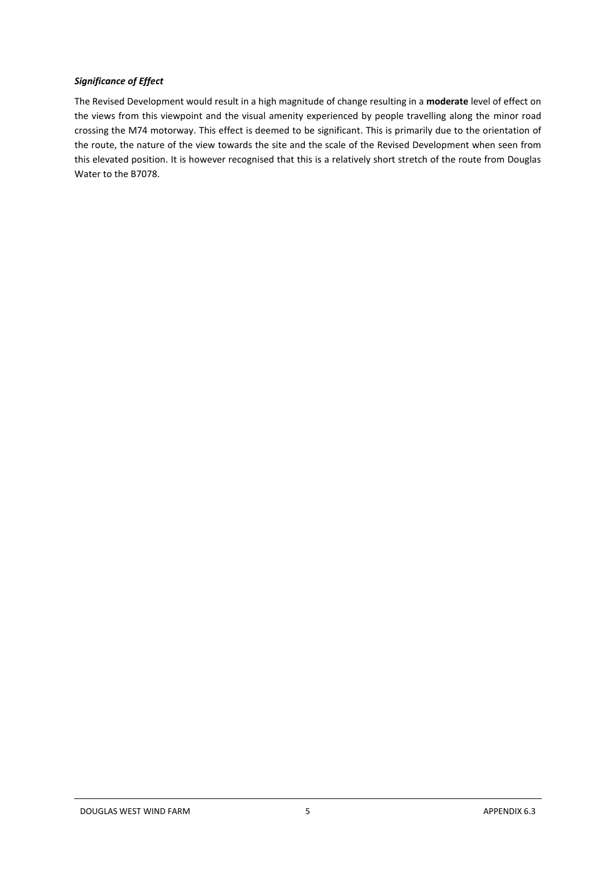#### *Significance of Effect*

The Revised Development would result in a high magnitude of change resulting in a **moderate** level of effect on the views from this viewpoint and the visual amenity experienced by people travelling along the minor road crossing the M74 motorway. This effect is deemed to be significant. This is primarily due to the orientation of the route, the nature of the view towards the site and the scale of the Revised Development when seen from this elevated position. It is however recognised that this is a relatively short stretch of the route from Douglas Water to the B7078.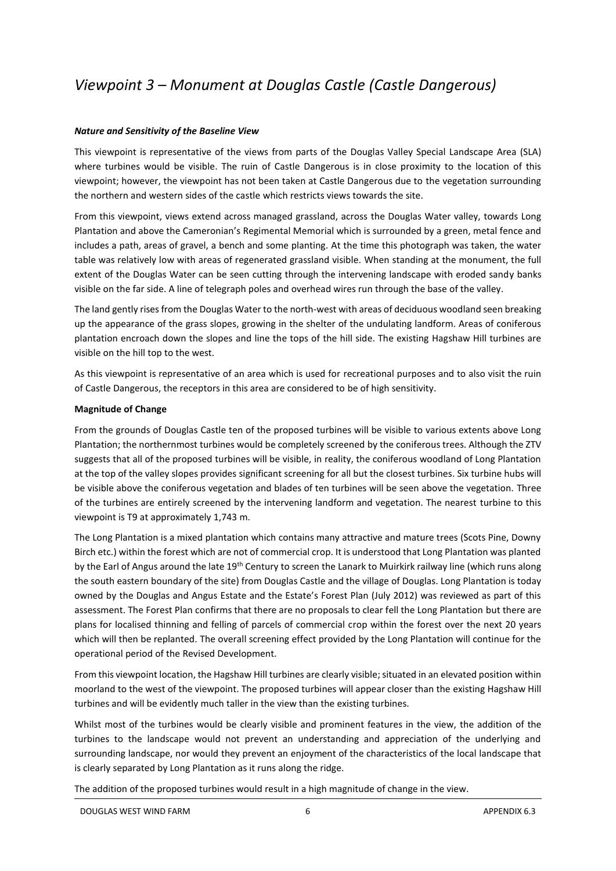# <span id="page-7-0"></span>*Viewpoint 3 – Monument at Douglas Castle (Castle Dangerous)*

#### *Nature and Sensitivity of the Baseline View*

This viewpoint is representative of the views from parts of the Douglas Valley Special Landscape Area (SLA) where turbines would be visible. The ruin of Castle Dangerous is in close proximity to the location of this viewpoint; however, the viewpoint has not been taken at Castle Dangerous due to the vegetation surrounding the northern and western sides of the castle which restricts views towards the site.

From this viewpoint, views extend across managed grassland, across the Douglas Water valley, towards Long Plantation and above the Cameronian's Regimental Memorial which is surrounded by a green, metal fence and includes a path, areas of gravel, a bench and some planting. At the time this photograph was taken, the water table was relatively low with areas of regenerated grassland visible. When standing at the monument, the full extent of the Douglas Water can be seen cutting through the intervening landscape with eroded sandy banks visible on the far side. A line of telegraph poles and overhead wires run through the base of the valley.

The land gently rises from the Douglas Water to the north-west with areas of deciduous woodland seen breaking up the appearance of the grass slopes, growing in the shelter of the undulating landform. Areas of coniferous plantation encroach down the slopes and line the tops of the hill side. The existing Hagshaw Hill turbines are visible on the hill top to the west.

As this viewpoint is representative of an area which is used for recreational purposes and to also visit the ruin of Castle Dangerous, the receptors in this area are considered to be of high sensitivity.

#### **Magnitude of Change**

From the grounds of Douglas Castle ten of the proposed turbines will be visible to various extents above Long Plantation; the northernmost turbines would be completely screened by the coniferous trees. Although the ZTV suggests that all of the proposed turbines will be visible, in reality, the coniferous woodland of Long Plantation at the top of the valley slopes provides significant screening for all but the closest turbines. Six turbine hubs will be visible above the coniferous vegetation and blades of ten turbines will be seen above the vegetation. Three of the turbines are entirely screened by the intervening landform and vegetation. The nearest turbine to this viewpoint is T9 at approximately 1,743 m.

The Long Plantation is a mixed plantation which contains many attractive and mature trees (Scots Pine, Downy Birch etc.) within the forest which are not of commercial crop. It is understood that Long Plantation was planted by the Earl of Angus around the late 19<sup>th</sup> Century to screen the Lanark to Muirkirk railway line (which runs along the south eastern boundary of the site) from Douglas Castle and the village of Douglas. Long Plantation is today owned by the Douglas and Angus Estate and the Estate's Forest Plan (July 2012) was reviewed as part of this assessment. The Forest Plan confirms that there are no proposals to clear fell the Long Plantation but there are plans for localised thinning and felling of parcels of commercial crop within the forest over the next 20 years which will then be replanted. The overall screening effect provided by the Long Plantation will continue for the operational period of the Revised Development.

From this viewpoint location, the Hagshaw Hill turbines are clearly visible; situated in an elevated position within moorland to the west of the viewpoint. The proposed turbines will appear closer than the existing Hagshaw Hill turbines and will be evidently much taller in the view than the existing turbines.

Whilst most of the turbines would be clearly visible and prominent features in the view, the addition of the turbines to the landscape would not prevent an understanding and appreciation of the underlying and surrounding landscape, nor would they prevent an enjoyment of the characteristics of the local landscape that is clearly separated by Long Plantation as it runs along the ridge.

The addition of the proposed turbines would result in a high magnitude of change in the view.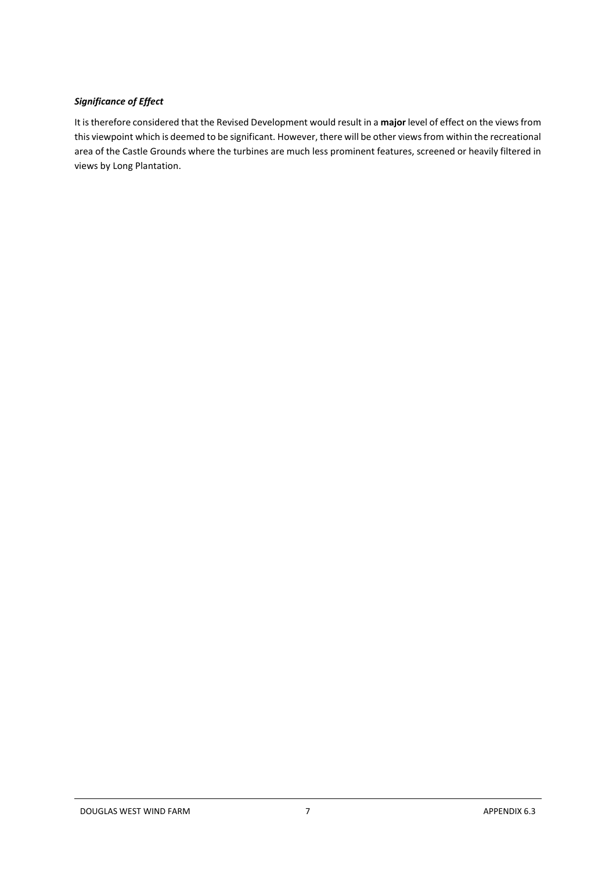#### *Significance of Effect*

It is therefore considered that the Revised Development would result in a **major** level of effect on the views from this viewpoint which is deemed to be significant. However, there will be other views from within the recreational area of the Castle Grounds where the turbines are much less prominent features, screened or heavily filtered in views by Long Plantation.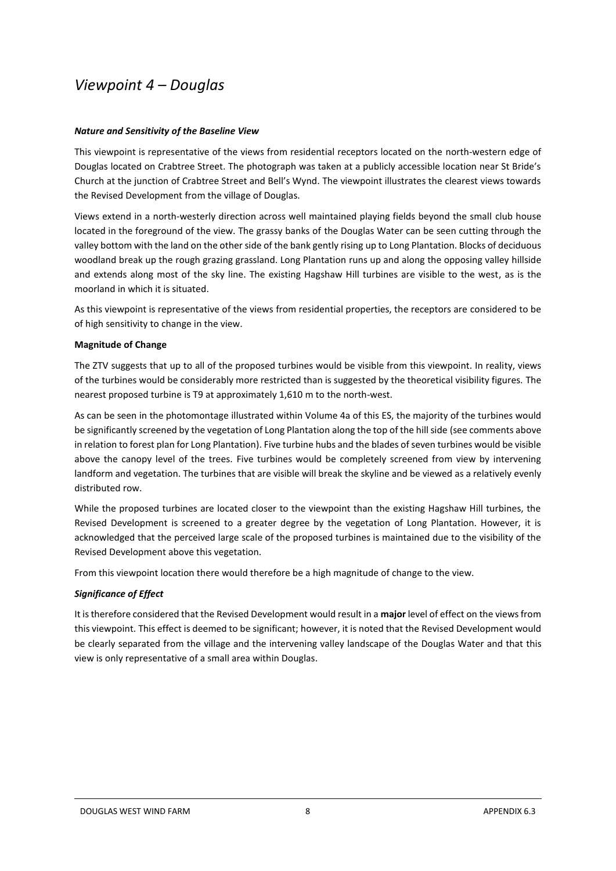### <span id="page-9-0"></span>*Viewpoint 4 – Douglas*

#### *Nature and Sensitivity of the Baseline View*

This viewpoint is representative of the views from residential receptors located on the north-western edge of Douglas located on Crabtree Street. The photograph was taken at a publicly accessible location near St Bride's Church at the junction of Crabtree Street and Bell's Wynd. The viewpoint illustrates the clearest views towards the Revised Development from the village of Douglas.

Views extend in a north-westerly direction across well maintained playing fields beyond the small club house located in the foreground of the view. The grassy banks of the Douglas Water can be seen cutting through the valley bottom with the land on the other side of the bank gently rising up to Long Plantation. Blocks of deciduous woodland break up the rough grazing grassland. Long Plantation runs up and along the opposing valley hillside and extends along most of the sky line. The existing Hagshaw Hill turbines are visible to the west, as is the moorland in which it is situated.

As this viewpoint is representative of the views from residential properties, the receptors are considered to be of high sensitivity to change in the view.

#### **Magnitude of Change**

The ZTV suggests that up to all of the proposed turbines would be visible from this viewpoint. In reality, views of the turbines would be considerably more restricted than is suggested by the theoretical visibility figures. The nearest proposed turbine is T9 at approximately 1,610 m to the north-west.

As can be seen in the photomontage illustrated within Volume 4a of this ES, the majority of the turbines would be significantly screened by the vegetation of Long Plantation along the top of the hill side (see comments above in relation to forest plan for Long Plantation). Five turbine hubs and the blades of seven turbines would be visible above the canopy level of the trees. Five turbines would be completely screened from view by intervening landform and vegetation. The turbines that are visible will break the skyline and be viewed as a relatively evenly distributed row.

While the proposed turbines are located closer to the viewpoint than the existing Hagshaw Hill turbines, the Revised Development is screened to a greater degree by the vegetation of Long Plantation. However, it is acknowledged that the perceived large scale of the proposed turbines is maintained due to the visibility of the Revised Development above this vegetation.

From this viewpoint location there would therefore be a high magnitude of change to the view.

#### *Significance of Effect*

It is therefore considered that the Revised Development would result in a **major** level of effect on the views from this viewpoint. This effect is deemed to be significant; however, it is noted that the Revised Development would be clearly separated from the village and the intervening valley landscape of the Douglas Water and that this view is only representative of a small area within Douglas.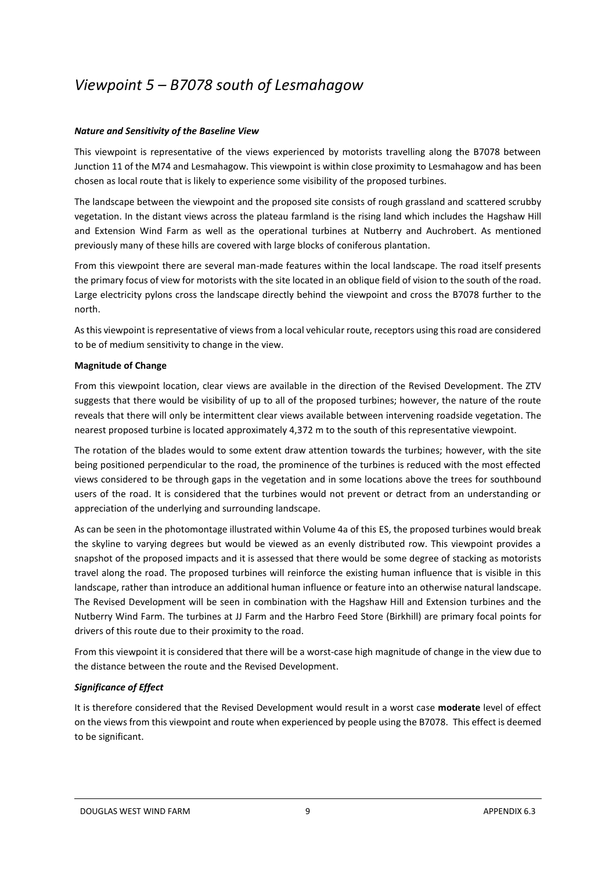# <span id="page-10-0"></span>*Viewpoint 5 – B7078 south of Lesmahagow*

#### *Nature and Sensitivity of the Baseline View*

This viewpoint is representative of the views experienced by motorists travelling along the B7078 between Junction 11 of the M74 and Lesmahagow. This viewpoint is within close proximity to Lesmahagow and has been chosen as local route that is likely to experience some visibility of the proposed turbines.

The landscape between the viewpoint and the proposed site consists of rough grassland and scattered scrubby vegetation. In the distant views across the plateau farmland is the rising land which includes the Hagshaw Hill and Extension Wind Farm as well as the operational turbines at Nutberry and Auchrobert. As mentioned previously many of these hills are covered with large blocks of coniferous plantation.

From this viewpoint there are several man-made features within the local landscape. The road itself presents the primary focus of view for motorists with the site located in an oblique field of vision to the south of the road. Large electricity pylons cross the landscape directly behind the viewpoint and cross the B7078 further to the north.

As this viewpoint is representative of views from a local vehicular route, receptors using this road are considered to be of medium sensitivity to change in the view.

#### **Magnitude of Change**

From this viewpoint location, clear views are available in the direction of the Revised Development. The ZTV suggests that there would be visibility of up to all of the proposed turbines; however, the nature of the route reveals that there will only be intermittent clear views available between intervening roadside vegetation. The nearest proposed turbine is located approximately 4,372 m to the south of this representative viewpoint.

The rotation of the blades would to some extent draw attention towards the turbines; however, with the site being positioned perpendicular to the road, the prominence of the turbines is reduced with the most effected views considered to be through gaps in the vegetation and in some locations above the trees for southbound users of the road. It is considered that the turbines would not prevent or detract from an understanding or appreciation of the underlying and surrounding landscape.

As can be seen in the photomontage illustrated within Volume 4a of this ES, the proposed turbines would break the skyline to varying degrees but would be viewed as an evenly distributed row. This viewpoint provides a snapshot of the proposed impacts and it is assessed that there would be some degree of stacking as motorists travel along the road. The proposed turbines will reinforce the existing human influence that is visible in this landscape, rather than introduce an additional human influence or feature into an otherwise natural landscape. The Revised Development will be seen in combination with the Hagshaw Hill and Extension turbines and the Nutberry Wind Farm. The turbines at JJ Farm and the Harbro Feed Store (Birkhill) are primary focal points for drivers of this route due to their proximity to the road.

From this viewpoint it is considered that there will be a worst-case high magnitude of change in the view due to the distance between the route and the Revised Development.

#### *Significance of Effect*

It is therefore considered that the Revised Development would result in a worst case **moderate** level of effect on the views from this viewpoint and route when experienced by people using the B7078. This effect is deemed to be significant.

DOUGLAS WEST WIND FARM **9** APPENDIX 6.3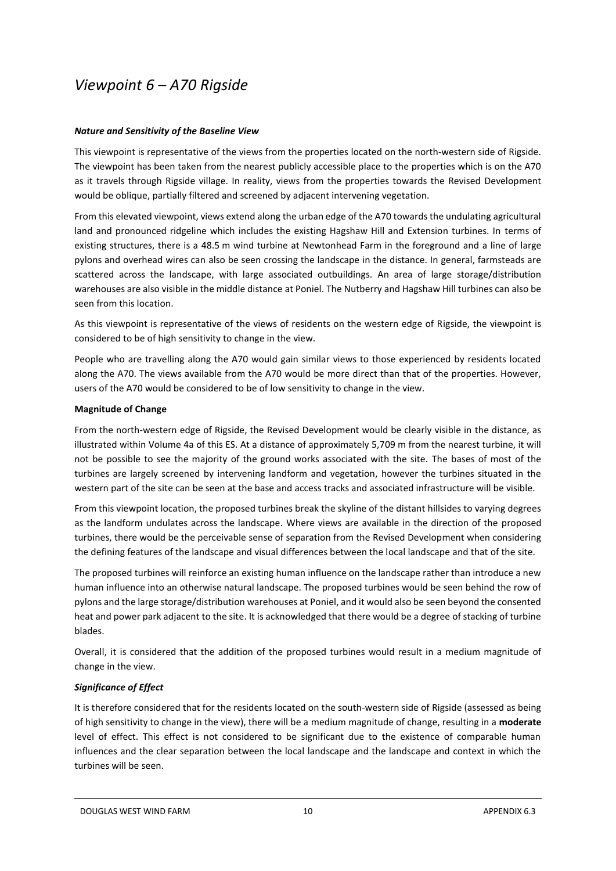# <span id="page-11-0"></span>*Viewpoint 6 – A70 Rigside*

#### *Nature and Sensitivity of the Baseline View*

This viewpoint is representative of the views from the properties located on the north-western side of Rigside. The viewpoint has been taken from the nearest publicly accessible place to the properties which is on the A70 as it travels through Rigside village. In reality, views from the properties towards the Revised Development would be oblique, partially filtered and screened by adjacent intervening vegetation.

From this elevated viewpoint, views extend along the urban edge of the A70 towards the undulating agricultural land and pronounced ridgeline which includes the existing Hagshaw Hill and Extension turbines. In terms of existing structures, there is a 48.5 m wind turbine at Newtonhead Farm in the foreground and a line of large pylons and overhead wires can also be seen crossing the landscape in the distance. In general, farmsteads are scattered across the landscape, with large associated outbuildings. An area of large storage/distribution warehouses are also visible in the middle distance at Poniel. The Nutberry and Hagshaw Hill turbines can also be seen from this location.

As this viewpoint is representative of the views of residents on the western edge of Rigside, the viewpoint is considered to be of high sensitivity to change in the view.

People who are travelling along the A70 would gain similar views to those experienced by residents located along the A70. The views available from the A70 would be more direct than that of the properties. However, users of the A70 would be considered to be of low sensitivity to change in the view.

#### **Magnitude of Change**

From the north-western edge of Rigside, the Revised Development would be clearly visible in the distance, as illustrated within Volume 4a of this ES. At a distance of approximately 5,709 m from the nearest turbine, it will not be possible to see the majority of the ground works associated with the site. The bases of most of the turbines are largely screened by intervening landform and vegetation, however the turbines situated in the western part of the site can be seen at the base and access tracks and associated infrastructure will be visible.

From this viewpoint location, the proposed turbines break the skyline of the distant hillsides to varying degrees as the landform undulates across the landscape. Where views are available in the direction of the proposed turbines, there would be the perceivable sense of separation from the Revised Development when considering the defining features of the landscape and visual differences between the local landscape and that of the site.

The proposed turbines will reinforce an existing human influence on the landscape rather than introduce a new human influence into an otherwise natural landscape. The proposed turbines would be seen behind the row of pylons and the large storage/distribution warehouses at Poniel, and it would also be seen beyond the consented heat and power park adjacent to the site. It is acknowledged that there would be a degree of stacking of turbine blades.

Overall, it is considered that the addition of the proposed turbines would result in a medium magnitude of change in the view.

#### *Significance of Effect*

It is therefore considered that for the residents located on the south-western side of Rigside (assessed as being of high sensitivity to change in the view), there will be a medium magnitude of change, resulting in a **moderate** level of effect. This effect is not considered to be significant due to the existence of comparable human influences and the clear separation between the local landscape and the landscape and context in which the turbines will be seen.

DOUGLAS WEST WIND FARM **10** APPENDIX 6.3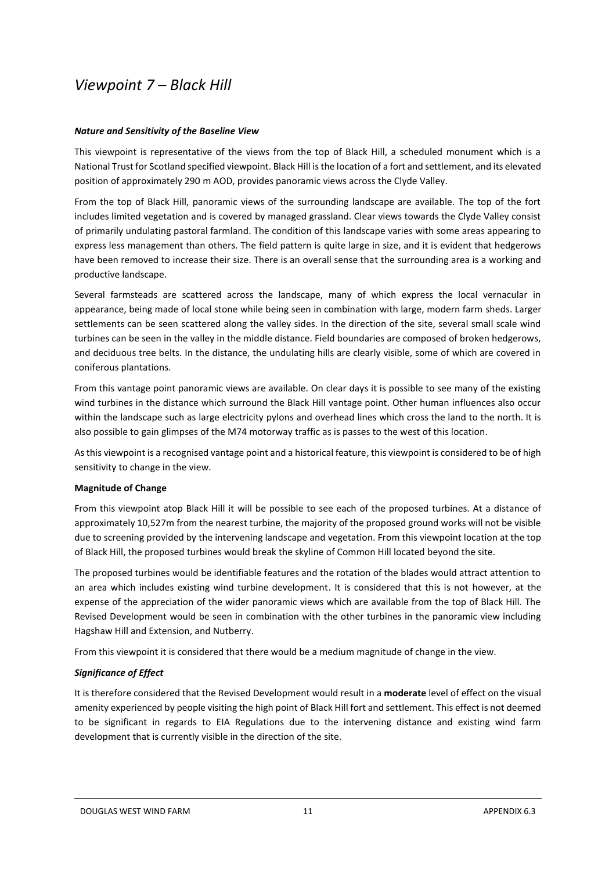### <span id="page-12-0"></span>*Viewpoint 7 – Black Hill*

#### *Nature and Sensitivity of the Baseline View*

This viewpoint is representative of the views from the top of Black Hill, a scheduled monument which is a National Trust for Scotland specified viewpoint. Black Hill is the location of a fort and settlement, and its elevated position of approximately 290 m AOD, provides panoramic views across the Clyde Valley.

From the top of Black Hill, panoramic views of the surrounding landscape are available. The top of the fort includes limited vegetation and is covered by managed grassland. Clear views towards the Clyde Valley consist of primarily undulating pastoral farmland. The condition of this landscape varies with some areas appearing to express less management than others. The field pattern is quite large in size, and it is evident that hedgerows have been removed to increase their size. There is an overall sense that the surrounding area is a working and productive landscape.

Several farmsteads are scattered across the landscape, many of which express the local vernacular in appearance, being made of local stone while being seen in combination with large, modern farm sheds. Larger settlements can be seen scattered along the valley sides. In the direction of the site, several small scale wind turbines can be seen in the valley in the middle distance. Field boundaries are composed of broken hedgerows, and deciduous tree belts. In the distance, the undulating hills are clearly visible, some of which are covered in coniferous plantations.

From this vantage point panoramic views are available. On clear days it is possible to see many of the existing wind turbines in the distance which surround the Black Hill vantage point. Other human influences also occur within the landscape such as large electricity pylons and overhead lines which cross the land to the north. It is also possible to gain glimpses of the M74 motorway traffic as is passes to the west of this location.

As this viewpoint is a recognised vantage point and a historical feature, this viewpoint is considered to be of high sensitivity to change in the view.

#### **Magnitude of Change**

From this viewpoint atop Black Hill it will be possible to see each of the proposed turbines. At a distance of approximately 10,527m from the nearest turbine, the majority of the proposed ground works will not be visible due to screening provided by the intervening landscape and vegetation. From this viewpoint location at the top of Black Hill, the proposed turbines would break the skyline of Common Hill located beyond the site.

The proposed turbines would be identifiable features and the rotation of the blades would attract attention to an area which includes existing wind turbine development. It is considered that this is not however, at the expense of the appreciation of the wider panoramic views which are available from the top of Black Hill. The Revised Development would be seen in combination with the other turbines in the panoramic view including Hagshaw Hill and Extension, and Nutberry.

From this viewpoint it is considered that there would be a medium magnitude of change in the view.

#### *Significance of Effect*

<span id="page-12-1"></span>It is therefore considered that the Revised Development would result in a **moderate** level of effect on the visual amenity experienced by people visiting the high point of Black Hill fort and settlement. This effect is not deemed to be significant in regards to EIA Regulations due to the intervening distance and existing wind farm development that is currently visible in the direction of the site.

DOUGLAS WEST WIND FARM **11** APPENDIX 6.3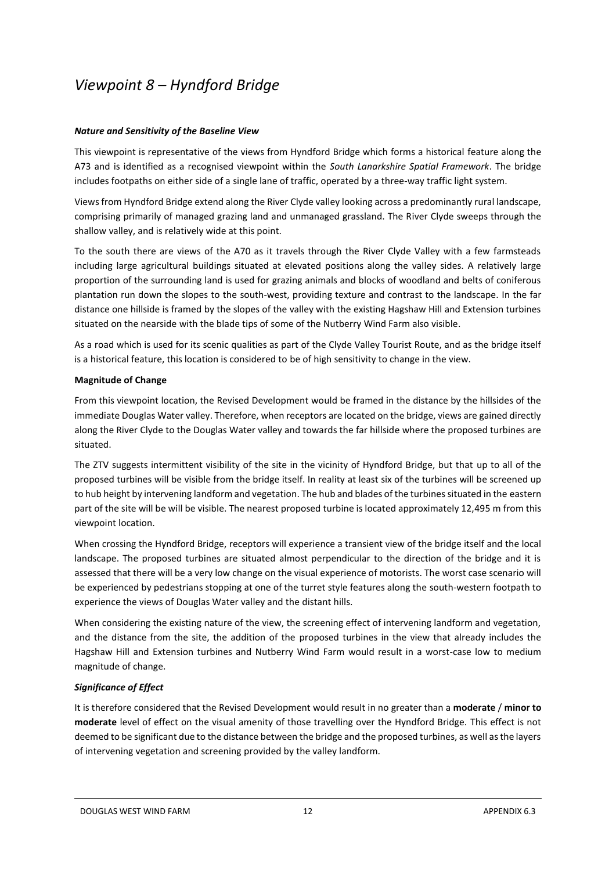# *Viewpoint 8 – Hyndford Bridge*

#### *Nature and Sensitivity of the Baseline View*

This viewpoint is representative of the views from Hyndford Bridge which forms a historical feature along the A73 and is identified as a recognised viewpoint within the *South Lanarkshire Spatial Framework*. The bridge includes footpaths on either side of a single lane of traffic, operated by a three-way traffic light system.

Views from Hyndford Bridge extend along the River Clyde valley looking across a predominantly rural landscape, comprising primarily of managed grazing land and unmanaged grassland. The River Clyde sweeps through the shallow valley, and is relatively wide at this point.

To the south there are views of the A70 as it travels through the River Clyde Valley with a few farmsteads including large agricultural buildings situated at elevated positions along the valley sides. A relatively large proportion of the surrounding land is used for grazing animals and blocks of woodland and belts of coniferous plantation run down the slopes to the south-west, providing texture and contrast to the landscape. In the far distance one hillside is framed by the slopes of the valley with the existing Hagshaw Hill and Extension turbines situated on the nearside with the blade tips of some of the Nutberry Wind Farm also visible.

As a road which is used for its scenic qualities as part of the Clyde Valley Tourist Route, and as the bridge itself is a historical feature, this location is considered to be of high sensitivity to change in the view.

#### **Magnitude of Change**

From this viewpoint location, the Revised Development would be framed in the distance by the hillsides of the immediate Douglas Water valley. Therefore, when receptors are located on the bridge, views are gained directly along the River Clyde to the Douglas Water valley and towards the far hillside where the proposed turbines are situated.

The ZTV suggests intermittent visibility of the site in the vicinity of Hyndford Bridge, but that up to all of the proposed turbines will be visible from the bridge itself. In reality at least six of the turbines will be screened up to hub height by intervening landform and vegetation. The hub and blades of the turbines situated in the eastern part of the site will be will be visible. The nearest proposed turbine is located approximately 12,495 m from this viewpoint location.

When crossing the Hyndford Bridge, receptors will experience a transient view of the bridge itself and the local landscape. The proposed turbines are situated almost perpendicular to the direction of the bridge and it is assessed that there will be a very low change on the visual experience of motorists. The worst case scenario will be experienced by pedestrians stopping at one of the turret style features along the south-western footpath to experience the views of Douglas Water valley and the distant hills.

When considering the existing nature of the view, the screening effect of intervening landform and vegetation, and the distance from the site, the addition of the proposed turbines in the view that already includes the Hagshaw Hill and Extension turbines and Nutberry Wind Farm would result in a worst-case low to medium magnitude of change.

#### *Significance of Effect*

It is therefore considered that the Revised Development would result in no greater than a **moderate** / **minor to moderate** level of effect on the visual amenity of those travelling over the Hyndford Bridge. This effect is not deemed to be significant due to the distance between the bridge and the proposed turbines, as well as the layers of intervening vegetation and screening provided by the valley landform.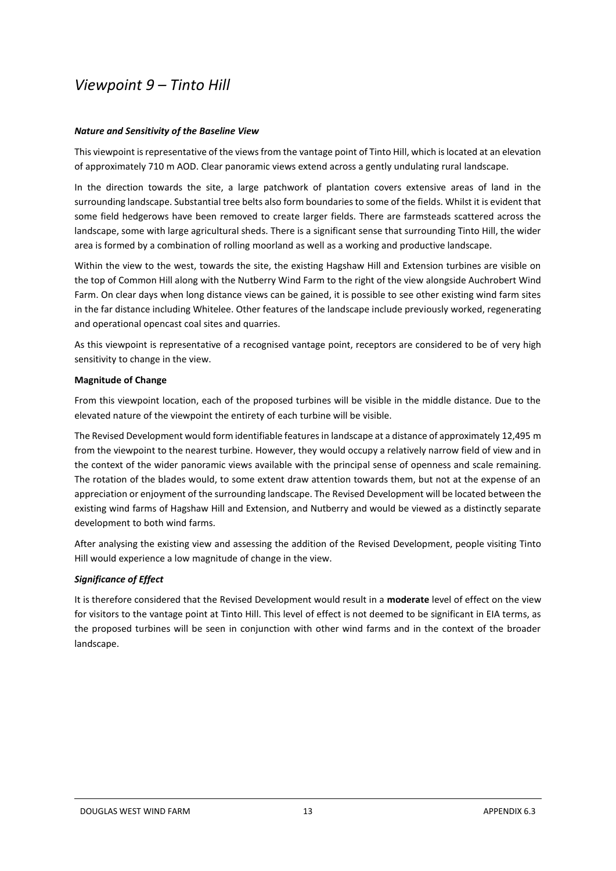### <span id="page-14-0"></span>*Viewpoint 9 – Tinto Hill*

#### *Nature and Sensitivity of the Baseline View*

This viewpoint is representative of the views from the vantage point of Tinto Hill, which is located at an elevation of approximately 710 m AOD. Clear panoramic views extend across a gently undulating rural landscape.

In the direction towards the site, a large patchwork of plantation covers extensive areas of land in the surrounding landscape. Substantial tree belts also form boundaries to some of the fields. Whilst it is evident that some field hedgerows have been removed to create larger fields. There are farmsteads scattered across the landscape, some with large agricultural sheds. There is a significant sense that surrounding Tinto Hill, the wider area is formed by a combination of rolling moorland as well as a working and productive landscape.

Within the view to the west, towards the site, the existing Hagshaw Hill and Extension turbines are visible on the top of Common Hill along with the Nutberry Wind Farm to the right of the view alongside Auchrobert Wind Farm. On clear days when long distance views can be gained, it is possible to see other existing wind farm sites in the far distance including Whitelee. Other features of the landscape include previously worked, regenerating and operational opencast coal sites and quarries.

As this viewpoint is representative of a recognised vantage point, receptors are considered to be of very high sensitivity to change in the view.

#### **Magnitude of Change**

From this viewpoint location, each of the proposed turbines will be visible in the middle distance. Due to the elevated nature of the viewpoint the entirety of each turbine will be visible.

The Revised Development would form identifiable features in landscape at a distance of approximately 12,495 m from the viewpoint to the nearest turbine. However, they would occupy a relatively narrow field of view and in the context of the wider panoramic views available with the principal sense of openness and scale remaining. The rotation of the blades would, to some extent draw attention towards them, but not at the expense of an appreciation or enjoyment of the surrounding landscape. The Revised Development will be located between the existing wind farms of Hagshaw Hill and Extension, and Nutberry and would be viewed as a distinctly separate development to both wind farms.

After analysing the existing view and assessing the addition of the Revised Development, people visiting Tinto Hill would experience a low magnitude of change in the view.

#### *Significance of Effect*

It is therefore considered that the Revised Development would result in a **moderate** level of effect on the view for visitors to the vantage point at Tinto Hill. This level of effect is not deemed to be significant in EIA terms, as the proposed turbines will be seen in conjunction with other wind farms and in the context of the broader landscape.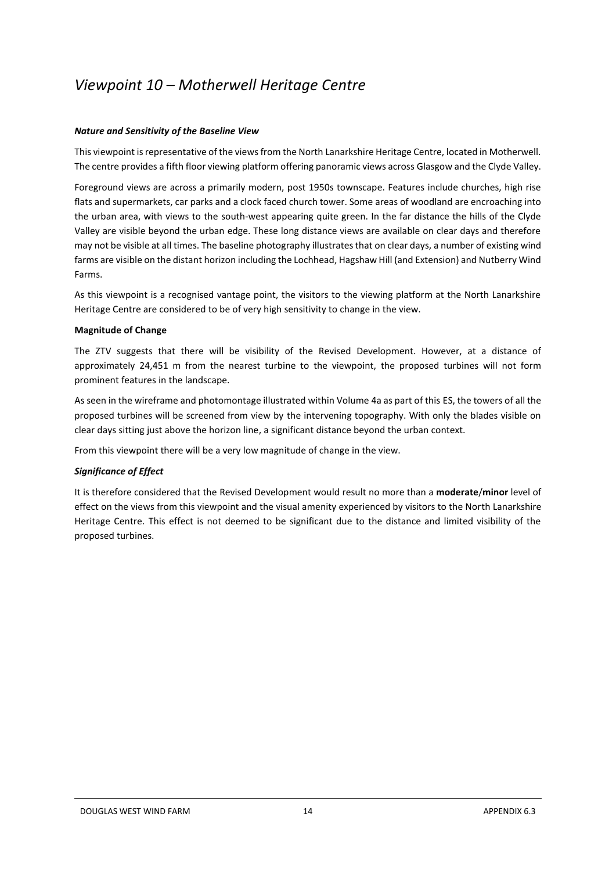# <span id="page-15-0"></span>*Viewpoint 10 – Motherwell Heritage Centre*

#### *Nature and Sensitivity of the Baseline View*

This viewpoint is representative of the views from the North Lanarkshire Heritage Centre, located in Motherwell. The centre provides a fifth floor viewing platform offering panoramic views across Glasgow and the Clyde Valley.

Foreground views are across a primarily modern, post 1950s townscape. Features include churches, high rise flats and supermarkets, car parks and a clock faced church tower. Some areas of woodland are encroaching into the urban area, with views to the south-west appearing quite green. In the far distance the hills of the Clyde Valley are visible beyond the urban edge. These long distance views are available on clear days and therefore may not be visible at all times. The baseline photography illustrates that on clear days, a number of existing wind farms are visible on the distant horizon including the Lochhead, Hagshaw Hill (and Extension) and Nutberry Wind Farms.

As this viewpoint is a recognised vantage point, the visitors to the viewing platform at the North Lanarkshire Heritage Centre are considered to be of very high sensitivity to change in the view.

#### **Magnitude of Change**

The ZTV suggests that there will be visibility of the Revised Development. However, at a distance of approximately 24,451 m from the nearest turbine to the viewpoint, the proposed turbines will not form prominent features in the landscape.

As seen in the wireframe and photomontage illustrated within Volume 4a as part of this ES, the towers of all the proposed turbines will be screened from view by the intervening topography. With only the blades visible on clear days sitting just above the horizon line, a significant distance beyond the urban context.

From this viewpoint there will be a very low magnitude of change in the view.

#### *Significance of Effect*

It is therefore considered that the Revised Development would result no more than a **moderate**/**minor** level of effect on the views from this viewpoint and the visual amenity experienced by visitors to the North Lanarkshire Heritage Centre. This effect is not deemed to be significant due to the distance and limited visibility of the proposed turbines.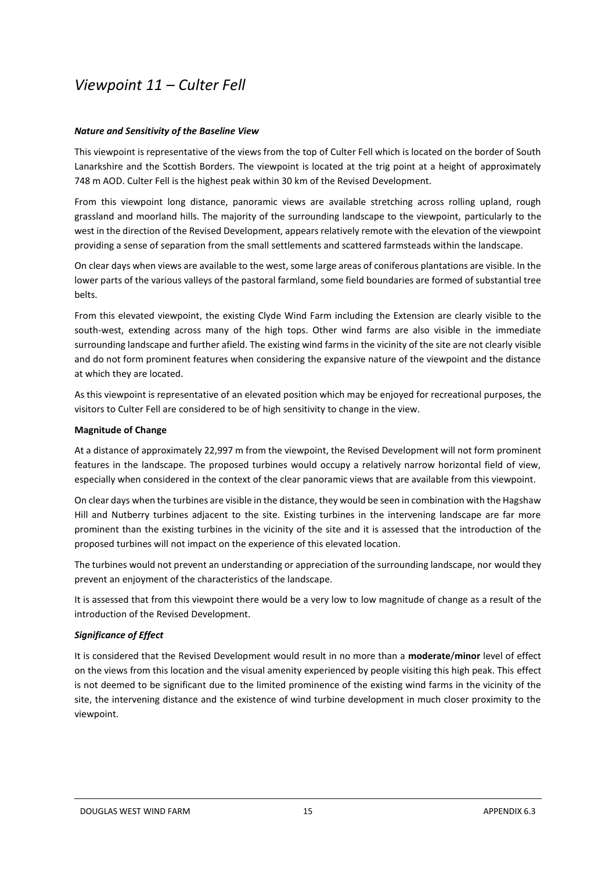### <span id="page-16-0"></span>*Viewpoint 11 – Culter Fell*

#### *Nature and Sensitivity of the Baseline View*

This viewpoint is representative of the views from the top of Culter Fell which is located on the border of South Lanarkshire and the Scottish Borders. The viewpoint is located at the trig point at a height of approximately 748 m AOD. Culter Fell is the highest peak within 30 km of the Revised Development.

From this viewpoint long distance, panoramic views are available stretching across rolling upland, rough grassland and moorland hills. The majority of the surrounding landscape to the viewpoint, particularly to the west in the direction of the Revised Development, appears relatively remote with the elevation of the viewpoint providing a sense of separation from the small settlements and scattered farmsteads within the landscape.

On clear days when views are available to the west, some large areas of coniferous plantations are visible. In the lower parts of the various valleys of the pastoral farmland, some field boundaries are formed of substantial tree belts.

From this elevated viewpoint, the existing Clyde Wind Farm including the Extension are clearly visible to the south-west, extending across many of the high tops. Other wind farms are also visible in the immediate surrounding landscape and further afield. The existing wind farms in the vicinity of the site are not clearly visible and do not form prominent features when considering the expansive nature of the viewpoint and the distance at which they are located.

As this viewpoint is representative of an elevated position which may be enjoyed for recreational purposes, the visitors to Culter Fell are considered to be of high sensitivity to change in the view.

#### **Magnitude of Change**

At a distance of approximately 22,997 m from the viewpoint, the Revised Development will not form prominent features in the landscape. The proposed turbines would occupy a relatively narrow horizontal field of view, especially when considered in the context of the clear panoramic views that are available from this viewpoint.

On clear days when the turbines are visible in the distance, they would be seen in combination with the Hagshaw Hill and Nutberry turbines adjacent to the site. Existing turbines in the intervening landscape are far more prominent than the existing turbines in the vicinity of the site and it is assessed that the introduction of the proposed turbines will not impact on the experience of this elevated location.

The turbines would not prevent an understanding or appreciation of the surrounding landscape, nor would they prevent an enjoyment of the characteristics of the landscape.

It is assessed that from this viewpoint there would be a very low to low magnitude of change as a result of the introduction of the Revised Development.

#### *Significance of Effect*

It is considered that the Revised Development would result in no more than a **moderate**/**minor** level of effect on the views from this location and the visual amenity experienced by people visiting this high peak. This effect is not deemed to be significant due to the limited prominence of the existing wind farms in the vicinity of the site, the intervening distance and the existence of wind turbine development in much closer proximity to the viewpoint.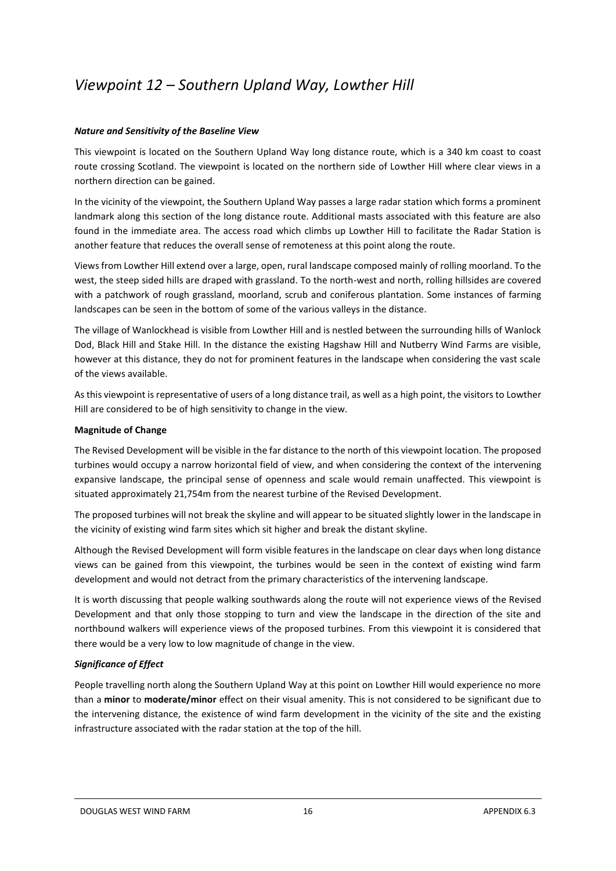# <span id="page-17-0"></span>*Viewpoint 12 – Southern Upland Way, Lowther Hill*

#### *Nature and Sensitivity of the Baseline View*

This viewpoint is located on the Southern Upland Way long distance route, which is a 340 km coast to coast route crossing Scotland. The viewpoint is located on the northern side of Lowther Hill where clear views in a northern direction can be gained.

In the vicinity of the viewpoint, the Southern Upland Way passes a large radar station which forms a prominent landmark along this section of the long distance route. Additional masts associated with this feature are also found in the immediate area. The access road which climbs up Lowther Hill to facilitate the Radar Station is another feature that reduces the overall sense of remoteness at this point along the route.

Views from Lowther Hill extend over a large, open, rural landscape composed mainly of rolling moorland. To the west, the steep sided hills are draped with grassland. To the north-west and north, rolling hillsides are covered with a patchwork of rough grassland, moorland, scrub and coniferous plantation. Some instances of farming landscapes can be seen in the bottom of some of the various valleys in the distance.

The village of Wanlockhead is visible from Lowther Hill and is nestled between the surrounding hills of Wanlock Dod, Black Hill and Stake Hill. In the distance the existing Hagshaw Hill and Nutberry Wind Farms are visible, however at this distance, they do not for prominent features in the landscape when considering the vast scale of the views available.

As this viewpoint is representative of users of a long distance trail, as well as a high point, the visitors to Lowther Hill are considered to be of high sensitivity to change in the view.

#### **Magnitude of Change**

The Revised Development will be visible in the far distance to the north of this viewpoint location. The proposed turbines would occupy a narrow horizontal field of view, and when considering the context of the intervening expansive landscape, the principal sense of openness and scale would remain unaffected. This viewpoint is situated approximately 21,754m from the nearest turbine of the Revised Development.

The proposed turbines will not break the skyline and will appear to be situated slightly lower in the landscape in the vicinity of existing wind farm sites which sit higher and break the distant skyline.

Although the Revised Development will form visible features in the landscape on clear days when long distance views can be gained from this viewpoint, the turbines would be seen in the context of existing wind farm development and would not detract from the primary characteristics of the intervening landscape.

It is worth discussing that people walking southwards along the route will not experience views of the Revised Development and that only those stopping to turn and view the landscape in the direction of the site and northbound walkers will experience views of the proposed turbines. From this viewpoint it is considered that there would be a very low to low magnitude of change in the view.

#### *Significance of Effect*

People travelling north along the Southern Upland Way at this point on Lowther Hill would experience no more than a **minor** to **moderate/minor** effect on their visual amenity. This is not considered to be significant due to the intervening distance, the existence of wind farm development in the vicinity of the site and the existing infrastructure associated with the radar station at the top of the hill.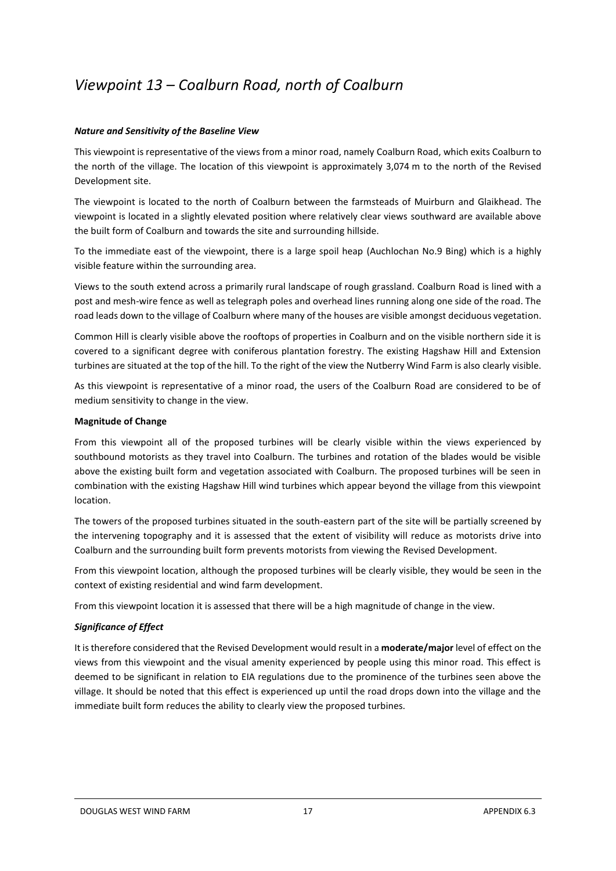# <span id="page-18-0"></span>*Viewpoint 13 – Coalburn Road, north of Coalburn*

#### *Nature and Sensitivity of the Baseline View*

This viewpoint is representative of the views from a minor road, namely Coalburn Road, which exits Coalburn to the north of the village. The location of this viewpoint is approximately 3,074 m to the north of the Revised Development site.

The viewpoint is located to the north of Coalburn between the farmsteads of Muirburn and Glaikhead. The viewpoint is located in a slightly elevated position where relatively clear views southward are available above the built form of Coalburn and towards the site and surrounding hillside.

To the immediate east of the viewpoint, there is a large spoil heap (Auchlochan No.9 Bing) which is a highly visible feature within the surrounding area.

Views to the south extend across a primarily rural landscape of rough grassland. Coalburn Road is lined with a post and mesh-wire fence as well as telegraph poles and overhead lines running along one side of the road. The road leads down to the village of Coalburn where many of the houses are visible amongst deciduous vegetation.

Common Hill is clearly visible above the rooftops of properties in Coalburn and on the visible northern side it is covered to a significant degree with coniferous plantation forestry. The existing Hagshaw Hill and Extension turbines are situated at the top of the hill. To the right of the view the Nutberry Wind Farm is also clearly visible.

As this viewpoint is representative of a minor road, the users of the Coalburn Road are considered to be of medium sensitivity to change in the view.

#### **Magnitude of Change**

From this viewpoint all of the proposed turbines will be clearly visible within the views experienced by southbound motorists as they travel into Coalburn. The turbines and rotation of the blades would be visible above the existing built form and vegetation associated with Coalburn. The proposed turbines will be seen in combination with the existing Hagshaw Hill wind turbines which appear beyond the village from this viewpoint location.

The towers of the proposed turbines situated in the south-eastern part of the site will be partially screened by the intervening topography and it is assessed that the extent of visibility will reduce as motorists drive into Coalburn and the surrounding built form prevents motorists from viewing the Revised Development.

From this viewpoint location, although the proposed turbines will be clearly visible, they would be seen in the context of existing residential and wind farm development.

From this viewpoint location it is assessed that there will be a high magnitude of change in the view.

#### *Significance of Effect*

<span id="page-18-1"></span>It is therefore considered that the Revised Development would result in a **moderate/major** level of effect on the views from this viewpoint and the visual amenity experienced by people using this minor road. This effect is deemed to be significant in relation to EIA regulations due to the prominence of the turbines seen above the village. It should be noted that this effect is experienced up until the road drops down into the village and the immediate built form reduces the ability to clearly view the proposed turbines.

DOUGLAS WEST WIND FARM **17** APPENDIX 6.3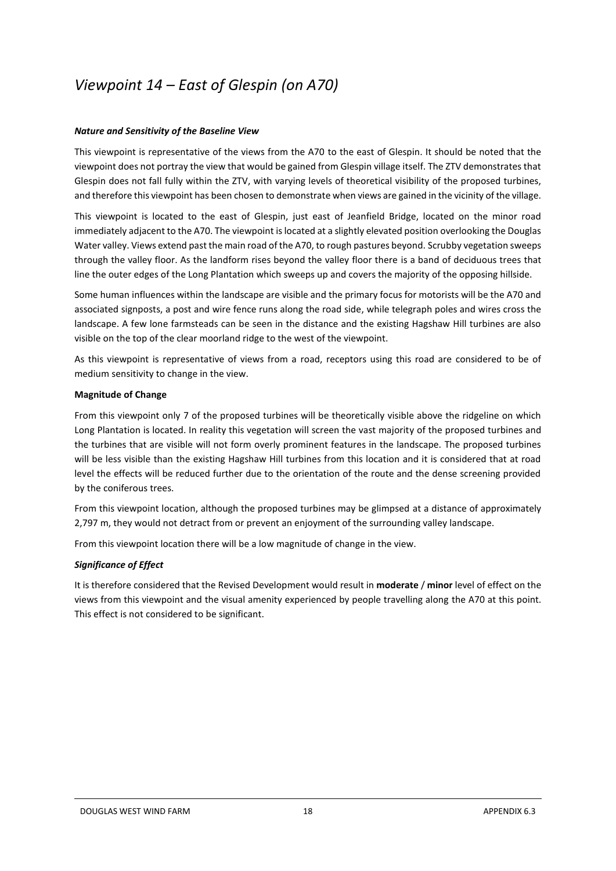# *Viewpoint 14 – East of Glespin (on A70)*

#### *Nature and Sensitivity of the Baseline View*

This viewpoint is representative of the views from the A70 to the east of Glespin. It should be noted that the viewpoint does not portray the view that would be gained from Glespin village itself. The ZTV demonstrates that Glespin does not fall fully within the ZTV, with varying levels of theoretical visibility of the proposed turbines, and therefore this viewpoint has been chosen to demonstrate when views are gained in the vicinity of the village.

This viewpoint is located to the east of Glespin, just east of Jeanfield Bridge, located on the minor road immediately adjacent to the A70. The viewpoint is located at a slightly elevated position overlooking the Douglas Water valley. Views extend past the main road of the A70, to rough pastures beyond. Scrubby vegetation sweeps through the valley floor. As the landform rises beyond the valley floor there is a band of deciduous trees that line the outer edges of the Long Plantation which sweeps up and covers the majority of the opposing hillside.

Some human influences within the landscape are visible and the primary focus for motorists will be the A70 and associated signposts, a post and wire fence runs along the road side, while telegraph poles and wires cross the landscape. A few lone farmsteads can be seen in the distance and the existing Hagshaw Hill turbines are also visible on the top of the clear moorland ridge to the west of the viewpoint.

As this viewpoint is representative of views from a road, receptors using this road are considered to be of medium sensitivity to change in the view.

#### **Magnitude of Change**

From this viewpoint only 7 of the proposed turbines will be theoretically visible above the ridgeline on which Long Plantation is located. In reality this vegetation will screen the vast majority of the proposed turbines and the turbines that are visible will not form overly prominent features in the landscape. The proposed turbines will be less visible than the existing Hagshaw Hill turbines from this location and it is considered that at road level the effects will be reduced further due to the orientation of the route and the dense screening provided by the coniferous trees.

From this viewpoint location, although the proposed turbines may be glimpsed at a distance of approximately 2,797 m, they would not detract from or prevent an enjoyment of the surrounding valley landscape.

From this viewpoint location there will be a low magnitude of change in the view.

#### *Significance of Effect*

It is therefore considered that the Revised Development would result in **moderate** / **minor** level of effect on the views from this viewpoint and the visual amenity experienced by people travelling along the A70 at this point. This effect is not considered to be significant.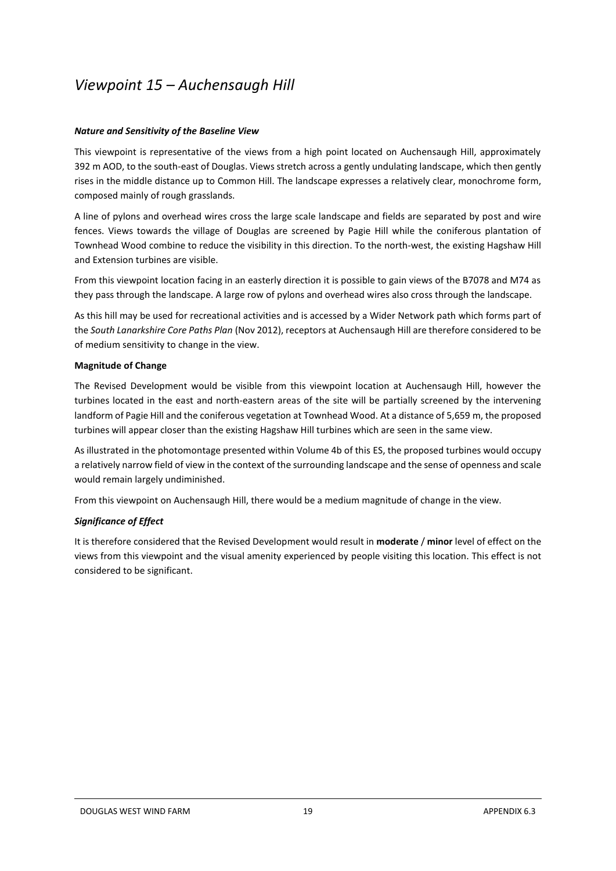### <span id="page-20-0"></span>*Viewpoint 15 – Auchensaugh Hill*

#### *Nature and Sensitivity of the Baseline View*

This viewpoint is representative of the views from a high point located on Auchensaugh Hill, approximately 392 m AOD, to the south-east of Douglas. Views stretch across a gently undulating landscape, which then gently rises in the middle distance up to Common Hill. The landscape expresses a relatively clear, monochrome form, composed mainly of rough grasslands.

A line of pylons and overhead wires cross the large scale landscape and fields are separated by post and wire fences. Views towards the village of Douglas are screened by Pagie Hill while the coniferous plantation of Townhead Wood combine to reduce the visibility in this direction. To the north-west, the existing Hagshaw Hill and Extension turbines are visible.

From this viewpoint location facing in an easterly direction it is possible to gain views of the B7078 and M74 as they pass through the landscape. A large row of pylons and overhead wires also cross through the landscape.

As this hill may be used for recreational activities and is accessed by a Wider Network path which forms part of the *South Lanarkshire Core Paths Plan* (Nov 2012), receptors at Auchensaugh Hill are therefore considered to be of medium sensitivity to change in the view.

#### **Magnitude of Change**

The Revised Development would be visible from this viewpoint location at Auchensaugh Hill, however the turbines located in the east and north-eastern areas of the site will be partially screened by the intervening landform of Pagie Hill and the coniferous vegetation at Townhead Wood. At a distance of 5,659 m, the proposed turbines will appear closer than the existing Hagshaw Hill turbines which are seen in the same view.

As illustrated in the photomontage presented within Volume 4b of this ES, the proposed turbines would occupy a relatively narrow field of view in the context of the surrounding landscape and the sense of openness and scale would remain largely undiminished.

From this viewpoint on Auchensaugh Hill, there would be a medium magnitude of change in the view.

#### *Significance of Effect*

It is therefore considered that the Revised Development would result in **moderate** / **minor** level of effect on the views from this viewpoint and the visual amenity experienced by people visiting this location. This effect is not considered to be significant.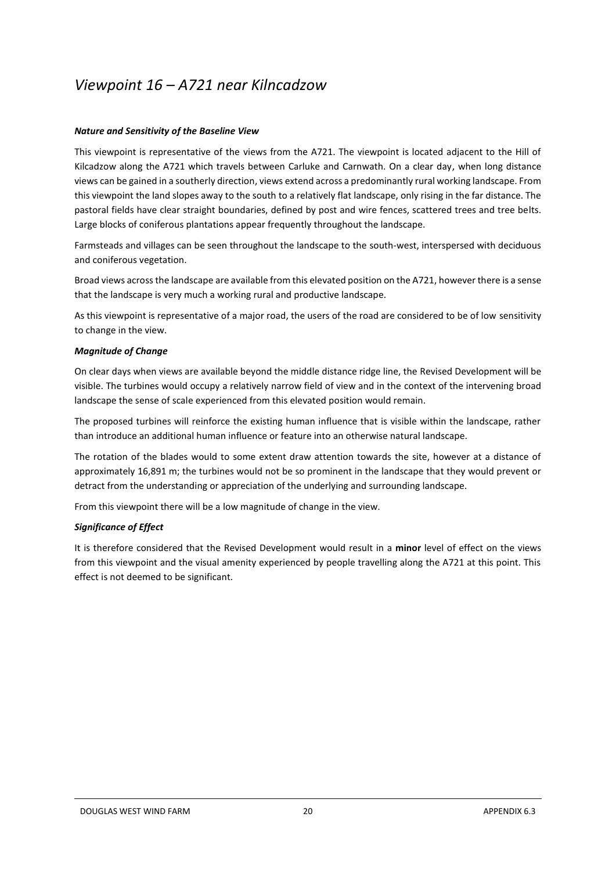# <span id="page-21-0"></span>*Viewpoint 16 – A721 near Kilncadzow*

#### *Nature and Sensitivity of the Baseline View*

This viewpoint is representative of the views from the A721. The viewpoint is located adjacent to the Hill of Kilcadzow along the A721 which travels between Carluke and Carnwath. On a clear day, when long distance views can be gained in a southerly direction, views extend across a predominantly rural working landscape. From this viewpoint the land slopes away to the south to a relatively flat landscape, only rising in the far distance. The pastoral fields have clear straight boundaries, defined by post and wire fences, scattered trees and tree belts. Large blocks of coniferous plantations appear frequently throughout the landscape.

Farmsteads and villages can be seen throughout the landscape to the south-west, interspersed with deciduous and coniferous vegetation.

Broad views across the landscape are available from this elevated position on the A721, however there is a sense that the landscape is very much a working rural and productive landscape.

As this viewpoint is representative of a major road, the users of the road are considered to be of low sensitivity to change in the view.

#### *Magnitude of Change*

On clear days when views are available beyond the middle distance ridge line, the Revised Development will be visible. The turbines would occupy a relatively narrow field of view and in the context of the intervening broad landscape the sense of scale experienced from this elevated position would remain.

The proposed turbines will reinforce the existing human influence that is visible within the landscape, rather than introduce an additional human influence or feature into an otherwise natural landscape.

The rotation of the blades would to some extent draw attention towards the site, however at a distance of approximately 16,891 m; the turbines would not be so prominent in the landscape that they would prevent or detract from the understanding or appreciation of the underlying and surrounding landscape.

From this viewpoint there will be a low magnitude of change in the view.

#### *Significance of Effect*

It is therefore considered that the Revised Development would result in a **minor** level of effect on the views from this viewpoint and the visual amenity experienced by people travelling along the A721 at this point. This effect is not deemed to be significant.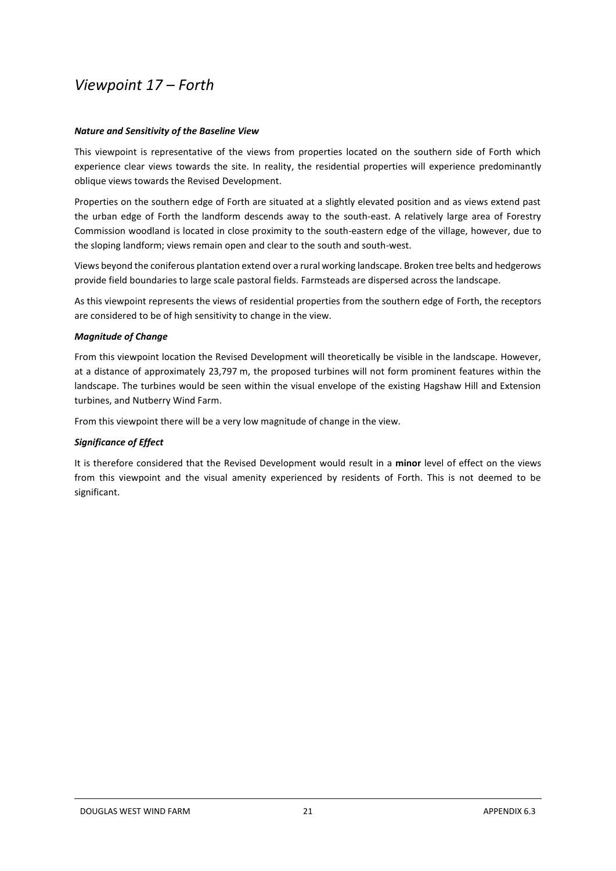### <span id="page-22-0"></span>*Viewpoint 17 – Forth*

#### *Nature and Sensitivity of the Baseline View*

This viewpoint is representative of the views from properties located on the southern side of Forth which experience clear views towards the site. In reality, the residential properties will experience predominantly oblique views towards the Revised Development.

Properties on the southern edge of Forth are situated at a slightly elevated position and as views extend past the urban edge of Forth the landform descends away to the south-east. A relatively large area of Forestry Commission woodland is located in close proximity to the south-eastern edge of the village, however, due to the sloping landform; views remain open and clear to the south and south-west.

Views beyond the coniferous plantation extend over a rural working landscape. Broken tree belts and hedgerows provide field boundaries to large scale pastoral fields. Farmsteads are dispersed across the landscape.

As this viewpoint represents the views of residential properties from the southern edge of Forth, the receptors are considered to be of high sensitivity to change in the view.

#### *Magnitude of Change*

From this viewpoint location the Revised Development will theoretically be visible in the landscape. However, at a distance of approximately 23,797 m, the proposed turbines will not form prominent features within the landscape. The turbines would be seen within the visual envelope of the existing Hagshaw Hill and Extension turbines, and Nutberry Wind Farm.

From this viewpoint there will be a very low magnitude of change in the view.

#### *Significance of Effect*

It is therefore considered that the Revised Development would result in a **minor** level of effect on the views from this viewpoint and the visual amenity experienced by residents of Forth. This is not deemed to be significant.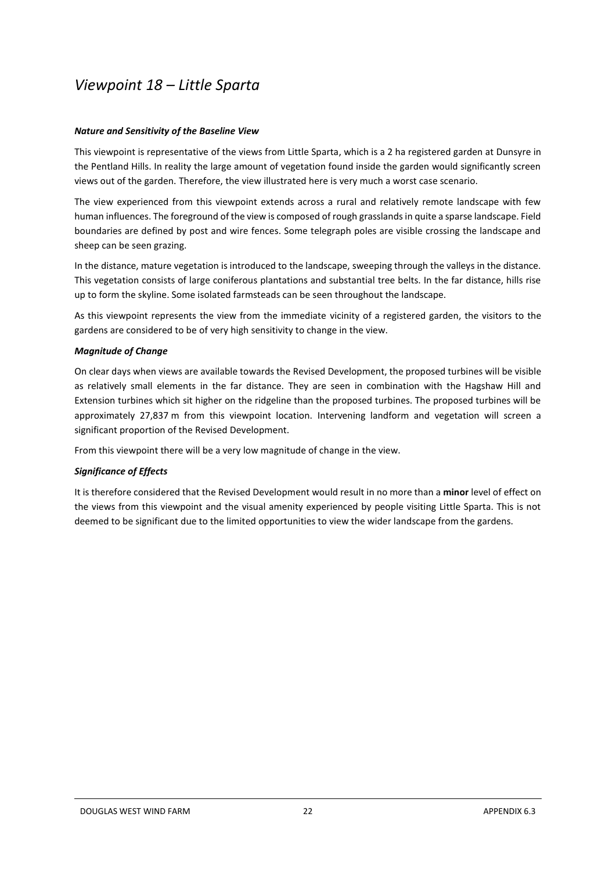### <span id="page-23-0"></span>*Viewpoint 18 – Little Sparta*

#### *Nature and Sensitivity of the Baseline View*

This viewpoint is representative of the views from Little Sparta, which is a 2 ha registered garden at Dunsyre in the Pentland Hills. In reality the large amount of vegetation found inside the garden would significantly screen views out of the garden. Therefore, the view illustrated here is very much a worst case scenario.

The view experienced from this viewpoint extends across a rural and relatively remote landscape with few human influences. The foreground of the view is composed of rough grasslands in quite a sparse landscape. Field boundaries are defined by post and wire fences. Some telegraph poles are visible crossing the landscape and sheep can be seen grazing.

In the distance, mature vegetation is introduced to the landscape, sweeping through the valleys in the distance. This vegetation consists of large coniferous plantations and substantial tree belts. In the far distance, hills rise up to form the skyline. Some isolated farmsteads can be seen throughout the landscape.

As this viewpoint represents the view from the immediate vicinity of a registered garden, the visitors to the gardens are considered to be of very high sensitivity to change in the view.

#### *Magnitude of Change*

On clear days when views are available towards the Revised Development, the proposed turbines will be visible as relatively small elements in the far distance. They are seen in combination with the Hagshaw Hill and Extension turbines which sit higher on the ridgeline than the proposed turbines. The proposed turbines will be approximately 27,837 m from this viewpoint location. Intervening landform and vegetation will screen a significant proportion of the Revised Development.

From this viewpoint there will be a very low magnitude of change in the view.

#### *Significance of Effects*

It is therefore considered that the Revised Development would result in no more than a **minor** level of effect on the views from this viewpoint and the visual amenity experienced by people visiting Little Sparta. This is not deemed to be significant due to the limited opportunities to view the wider landscape from the gardens.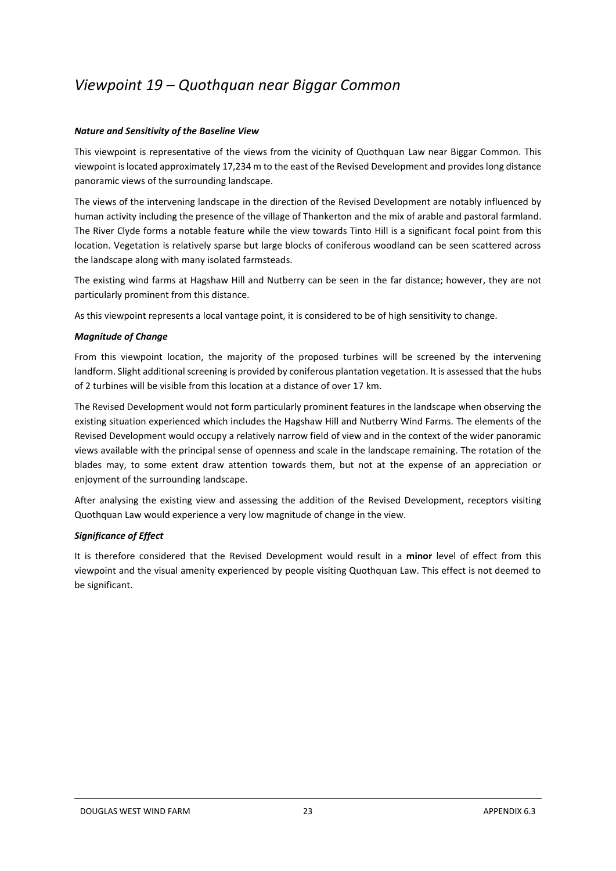# <span id="page-24-0"></span>*Viewpoint 19 – Quothquan near Biggar Common*

#### *Nature and Sensitivity of the Baseline View*

This viewpoint is representative of the views from the vicinity of Quothquan Law near Biggar Common. This viewpoint is located approximately 17,234 m to the east of the Revised Development and provides long distance panoramic views of the surrounding landscape.

The views of the intervening landscape in the direction of the Revised Development are notably influenced by human activity including the presence of the village of Thankerton and the mix of arable and pastoral farmland. The River Clyde forms a notable feature while the view towards Tinto Hill is a significant focal point from this location. Vegetation is relatively sparse but large blocks of coniferous woodland can be seen scattered across the landscape along with many isolated farmsteads.

The existing wind farms at Hagshaw Hill and Nutberry can be seen in the far distance; however, they are not particularly prominent from this distance.

As this viewpoint represents a local vantage point, it is considered to be of high sensitivity to change.

#### *Magnitude of Change*

From this viewpoint location, the majority of the proposed turbines will be screened by the intervening landform. Slight additional screening is provided by coniferous plantation vegetation. It is assessed that the hubs of 2 turbines will be visible from this location at a distance of over 17 km.

The Revised Development would not form particularly prominent features in the landscape when observing the existing situation experienced which includes the Hagshaw Hill and Nutberry Wind Farms. The elements of the Revised Development would occupy a relatively narrow field of view and in the context of the wider panoramic views available with the principal sense of openness and scale in the landscape remaining. The rotation of the blades may, to some extent draw attention towards them, but not at the expense of an appreciation or enjoyment of the surrounding landscape.

After analysing the existing view and assessing the addition of the Revised Development, receptors visiting Quothquan Law would experience a very low magnitude of change in the view.

#### *Significance of Effect*

It is therefore considered that the Revised Development would result in a **minor** level of effect from this viewpoint and the visual amenity experienced by people visiting Quothquan Law. This effect is not deemed to be significant.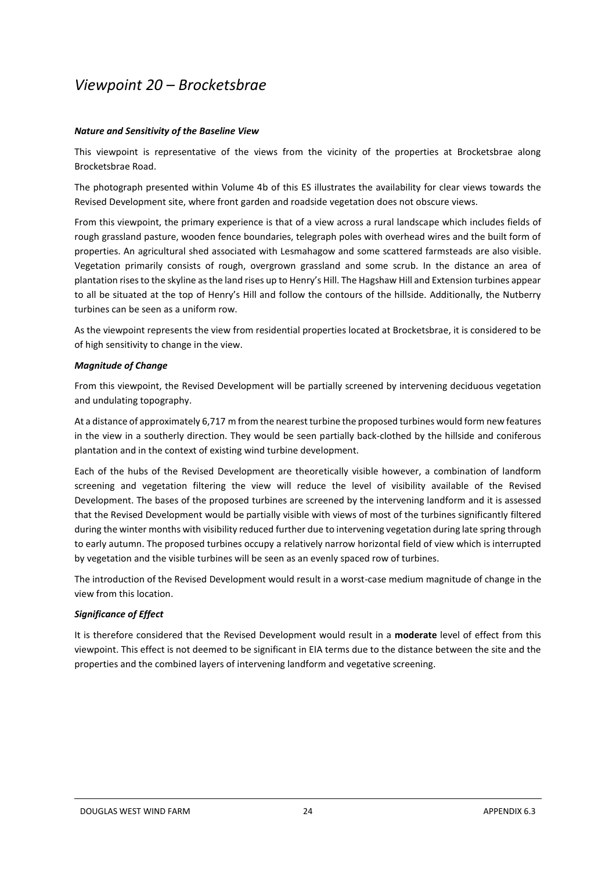### <span id="page-25-0"></span>*Viewpoint 20 – Brocketsbrae*

#### *Nature and Sensitivity of the Baseline View*

This viewpoint is representative of the views from the vicinity of the properties at Brocketsbrae along Brocketsbrae Road.

The photograph presented within Volume 4b of this ES illustrates the availability for clear views towards the Revised Development site, where front garden and roadside vegetation does not obscure views.

From this viewpoint, the primary experience is that of a view across a rural landscape which includes fields of rough grassland pasture, wooden fence boundaries, telegraph poles with overhead wires and the built form of properties. An agricultural shed associated with Lesmahagow and some scattered farmsteads are also visible. Vegetation primarily consists of rough, overgrown grassland and some scrub. In the distance an area of plantation rises to the skyline as the land rises up to Henry's Hill. The Hagshaw Hill and Extension turbines appear to all be situated at the top of Henry's Hill and follow the contours of the hillside. Additionally, the Nutberry turbines can be seen as a uniform row.

As the viewpoint represents the view from residential properties located at Brocketsbrae, it is considered to be of high sensitivity to change in the view.

#### *Magnitude of Change*

From this viewpoint, the Revised Development will be partially screened by intervening deciduous vegetation and undulating topography.

At a distance of approximately 6,717 m from the nearest turbine the proposed turbines would form new features in the view in a southerly direction. They would be seen partially back-clothed by the hillside and coniferous plantation and in the context of existing wind turbine development.

Each of the hubs of the Revised Development are theoretically visible however, a combination of landform screening and vegetation filtering the view will reduce the level of visibility available of the Revised Development. The bases of the proposed turbines are screened by the intervening landform and it is assessed that the Revised Development would be partially visible with views of most of the turbines significantly filtered during the winter months with visibility reduced further due to intervening vegetation during late spring through to early autumn. The proposed turbines occupy a relatively narrow horizontal field of view which is interrupted by vegetation and the visible turbines will be seen as an evenly spaced row of turbines.

The introduction of the Revised Development would result in a worst-case medium magnitude of change in the view from this location.

#### *Significance of Effect*

It is therefore considered that the Revised Development would result in a **moderate** level of effect from this viewpoint. This effect is not deemed to be significant in EIA terms due to the distance between the site and the properties and the combined layers of intervening landform and vegetative screening.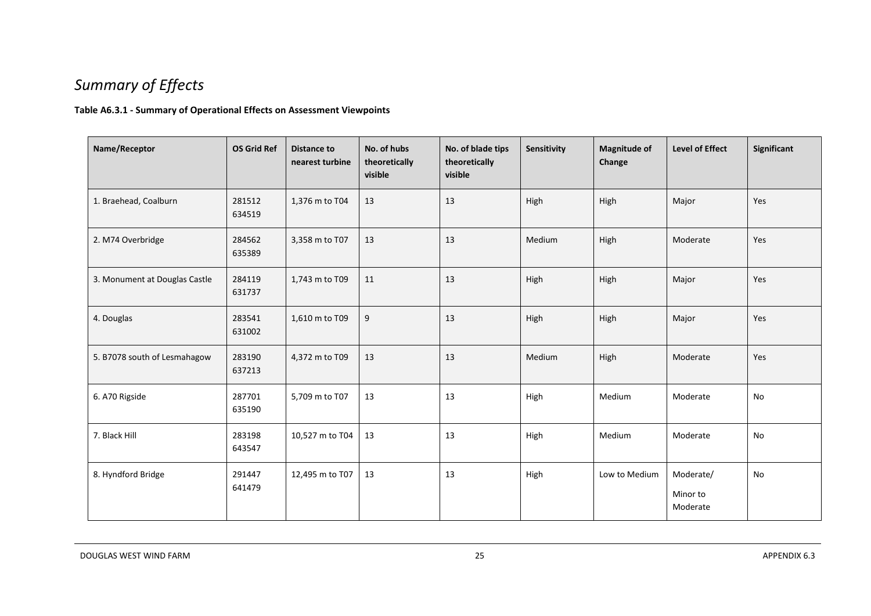# *Summary of Effects*

#### **Table A6.3.1 - Summary of Operational Effects on Assessment Viewpoints**

<span id="page-26-0"></span>

| Name/Receptor                 | <b>OS Grid Ref</b> | <b>Distance to</b><br>nearest turbine | No. of hubs<br>theoretically<br>visible | No. of blade tips<br>theoretically<br>visible | Sensitivity | <b>Magnitude of</b><br>Change | <b>Level of Effect</b>            | Significant |
|-------------------------------|--------------------|---------------------------------------|-----------------------------------------|-----------------------------------------------|-------------|-------------------------------|-----------------------------------|-------------|
| 1. Braehead, Coalburn         | 281512<br>634519   | 1,376 m to T04                        | 13                                      | 13                                            | High        | High                          | Major                             | Yes         |
| 2. M74 Overbridge             | 284562<br>635389   | 3,358 m to T07                        | 13                                      | 13                                            | Medium      | High                          | Moderate                          | Yes         |
| 3. Monument at Douglas Castle | 284119<br>631737   | 1,743 m to T09                        | 11                                      | 13                                            | High        | High                          | Major                             | Yes         |
| 4. Douglas                    | 283541<br>631002   | 1,610 m to T09                        | 9                                       | 13                                            | High        | High                          | Major                             | Yes         |
| 5. B7078 south of Lesmahagow  | 283190<br>637213   | 4,372 m to T09                        | 13                                      | 13                                            | Medium      | High                          | Moderate                          | Yes         |
| 6. A70 Rigside                | 287701<br>635190   | 5,709 m to T07                        | 13                                      | 13                                            | High        | Medium                        | Moderate                          | <b>No</b>   |
| 7. Black Hill                 | 283198<br>643547   | 10,527 m to T04                       | 13                                      | 13                                            | High        | Medium                        | Moderate                          | No          |
| 8. Hyndford Bridge            | 291447<br>641479   | 12,495 m to T07                       | 13                                      | 13                                            | High        | Low to Medium                 | Moderate/<br>Minor to<br>Moderate | No          |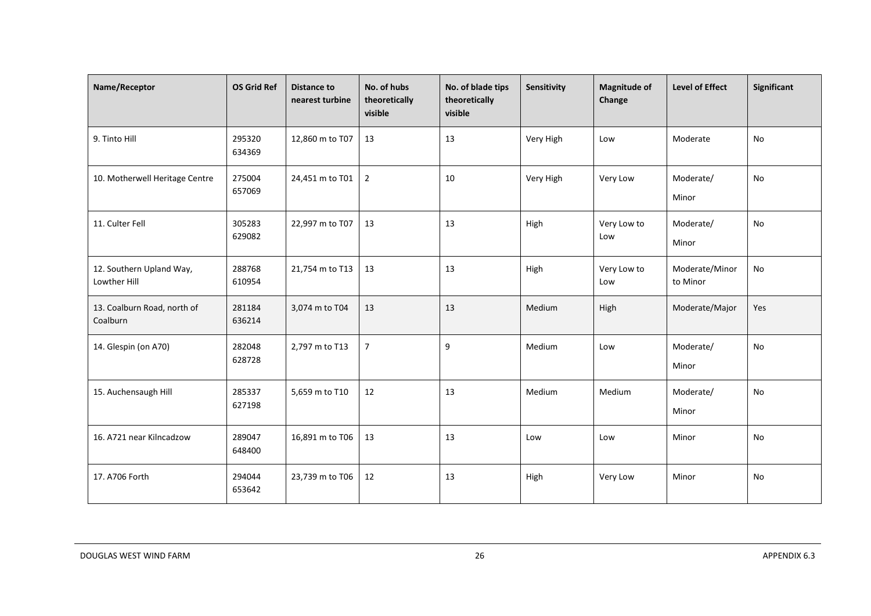| Name/Receptor                            | <b>OS Grid Ref</b> | <b>Distance to</b><br>nearest turbine | No. of hubs<br>theoretically<br>visible | No. of blade tips<br>theoretically<br>visible | Sensitivity | <b>Magnitude of</b><br>Change | <b>Level of Effect</b>     | Significant |
|------------------------------------------|--------------------|---------------------------------------|-----------------------------------------|-----------------------------------------------|-------------|-------------------------------|----------------------------|-------------|
| 9. Tinto Hill                            | 295320<br>634369   | 12,860 m to T07                       | 13                                      | 13                                            | Very High   | Low                           | Moderate                   | <b>No</b>   |
| 10. Motherwell Heritage Centre           | 275004<br>657069   | 24,451 m to T01                       | $\overline{2}$                          | 10                                            | Very High   | Very Low                      | Moderate/<br>Minor         | <b>No</b>   |
| 11. Culter Fell                          | 305283<br>629082   | 22,997 m to T07                       | 13                                      | 13                                            | High        | Very Low to<br>Low            | Moderate/<br>Minor         | <b>No</b>   |
| 12. Southern Upland Way,<br>Lowther Hill | 288768<br>610954   | 21,754 m to T13                       | 13                                      | 13                                            | High        | Very Low to<br>Low            | Moderate/Minor<br>to Minor | No          |
| 13. Coalburn Road, north of<br>Coalburn  | 281184<br>636214   | 3,074 m to T04                        | 13                                      | 13                                            | Medium      | High                          | Moderate/Major             | <b>Yes</b>  |
| 14. Glespin (on A70)                     | 282048<br>628728   | 2,797 m to T13                        | $\overline{7}$                          | 9                                             | Medium      | Low                           | Moderate/<br>Minor         | <b>No</b>   |
| 15. Auchensaugh Hill                     | 285337<br>627198   | 5,659 m to T10                        | 12                                      | 13                                            | Medium      | Medium                        | Moderate/<br>Minor         | No          |
| 16. A721 near Kilncadzow                 | 289047<br>648400   | 16,891 m to T06                       | 13                                      | 13                                            | Low         | Low                           | Minor                      | No          |
| 17. A706 Forth                           | 294044<br>653642   | 23,739 m to T06                       | 12                                      | 13                                            | High        | Very Low                      | Minor                      | No          |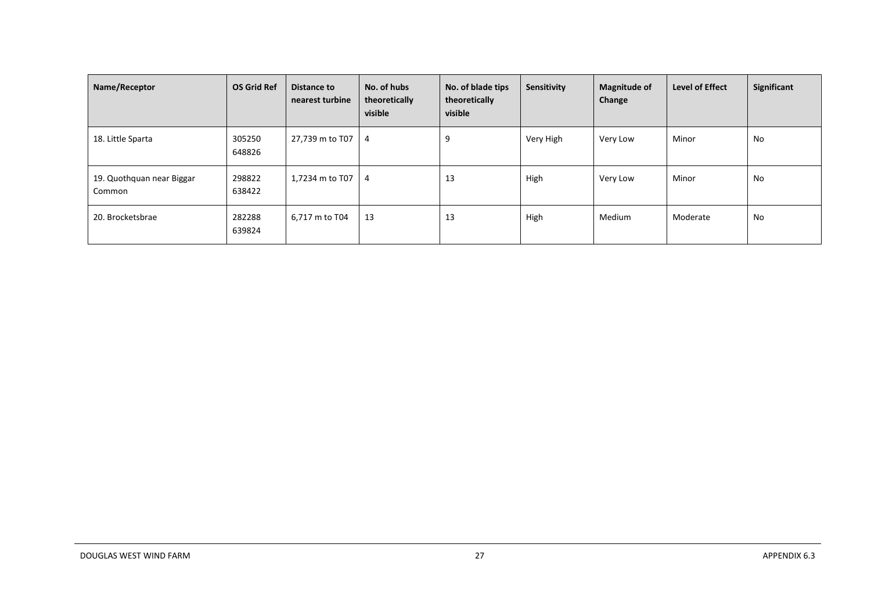| Name/Receptor                       | <b>OS Grid Ref</b> | Distance to<br>nearest turbine | No. of hubs<br>theoretically<br>visible | No. of blade tips<br>theoretically<br>visible | Sensitivity | <b>Magnitude of</b><br>Change | <b>Level of Effect</b> | Significant |
|-------------------------------------|--------------------|--------------------------------|-----------------------------------------|-----------------------------------------------|-------------|-------------------------------|------------------------|-------------|
| 18. Little Sparta                   | 305250<br>648826   | 27,739 m to T07                | -4                                      | 9                                             | Very High   | Very Low                      | Minor                  | No          |
| 19. Quothquan near Biggar<br>Common | 298822<br>638422   | 1,7234 m to T07                | -4                                      | 13                                            | High        | Very Low                      | Minor                  | No          |
| 20. Brocketsbrae                    | 282288<br>639824   | 6,717 m to T04                 | 13                                      | 13                                            | High        | Medium                        | Moderate               | No          |